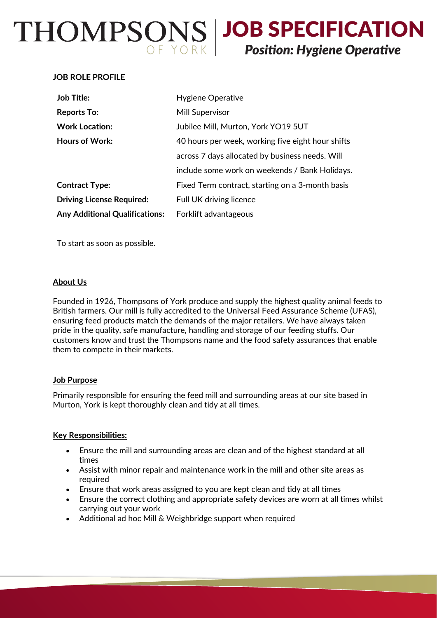# THOMPSONS | JOB SPECIFICATION

# *Position: Hygiene Operative*

### **JOB ROLE PROFILE**

| <b>Job Title:</b>                     | Hygiene Operative                                 |
|---------------------------------------|---------------------------------------------------|
| <b>Reports To:</b>                    | Mill Supervisor                                   |
| <b>Work Location:</b>                 | Jubilee Mill, Murton, York YO19 5UT               |
| <b>Hours of Work:</b>                 | 40 hours per week, working five eight hour shifts |
|                                       | across 7 days allocated by business needs. Will   |
|                                       | include some work on weekends / Bank Holidays.    |
| <b>Contract Type:</b>                 | Fixed Term contract, starting on a 3-month basis  |
| <b>Driving License Required:</b>      | Full UK driving licence                           |
| <b>Any Additional Qualifications:</b> | Forklift advantageous                             |

To start as soon as possible.

# **About Us**

Founded in 1926, Thompsons of York produce and supply the highest quality animal feeds to British farmers. Our mill is fully accredited to the Universal Feed Assurance Scheme (UFAS), ensuring feed products match the demands of the major retailers. We have always taken pride in the quality, safe manufacture, handling and storage of our feeding stuffs. Our customers know and trust the Thompsons name and the food safety assurances that enable them to compete in their markets.

#### **Job Purpose**

Primarily responsible for ensuring the feed mill and surrounding areas at our site based in Murton, York is kept thoroughly clean and tidy at all times.

# **Key Responsibilities:**

- Ensure the mill and surrounding areas are clean and of the highest standard at all times
- Assist with minor repair and maintenance work in the mill and other site areas as required
- Ensure that work areas assigned to you are kept clean and tidy at all times
- Ensure the correct clothing and appropriate safety devices are worn at all times whilst carrying out your work
- Additional ad hoc Mill & Weighbridge support when required